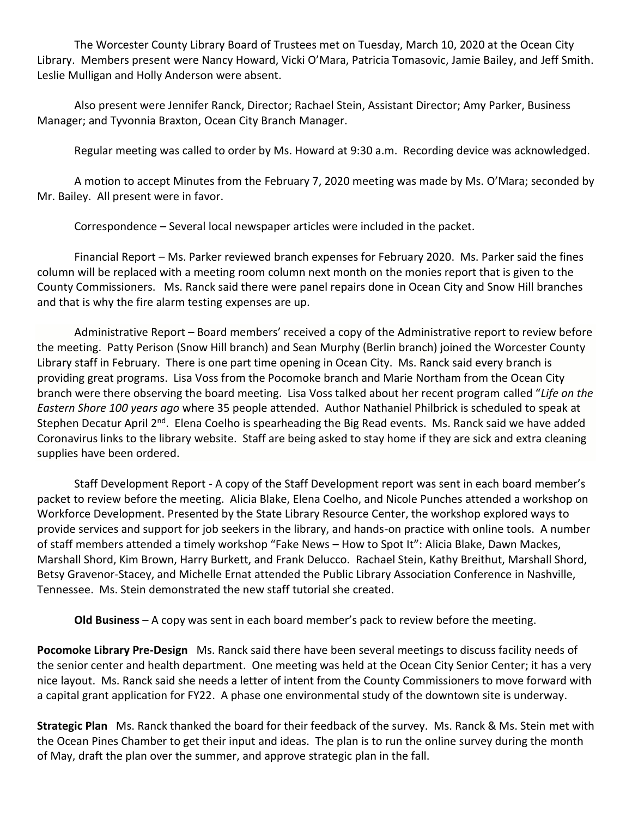The Worcester County Library Board of Trustees met on Tuesday, March 10, 2020 at the Ocean City Library. Members present were Nancy Howard, Vicki O'Mara, Patricia Tomasovic, Jamie Bailey, and Jeff Smith. Leslie Mulligan and Holly Anderson were absent.

Also present were Jennifer Ranck, Director; Rachael Stein, Assistant Director; Amy Parker, Business Manager; and Tyvonnia Braxton, Ocean City Branch Manager.

Regular meeting was called to order by Ms. Howard at 9:30 a.m. Recording device was acknowledged.

A motion to accept Minutes from the February 7, 2020 meeting was made by Ms. O'Mara; seconded by Mr. Bailey. All present were in favor.

Correspondence – Several local newspaper articles were included in the packet.

Financial Report – Ms. Parker reviewed branch expenses for February 2020. Ms. Parker said the fines column will be replaced with a meeting room column next month on the monies report that is given to the County Commissioners. Ms. Ranck said there were panel repairs done in Ocean City and Snow Hill branches and that is why the fire alarm testing expenses are up.

Administrative Report – Board members' received a copy of the Administrative report to review before the meeting. Patty Perison (Snow Hill branch) and Sean Murphy (Berlin branch) joined the Worcester County Library staff in February. There is one part time opening in Ocean City. Ms. Ranck said every branch is providing great programs. Lisa Voss from the Pocomoke branch and Marie Northam from the Ocean City branch were there observing the board meeting. Lisa Voss talked about her recent program called "*Life on the Eastern Shore 100 years ago* where 35 people attended. Author Nathaniel Philbrick is scheduled to speak at Stephen Decatur April 2<sup>nd</sup>. Elena Coelho is spearheading the Big Read events. Ms. Ranck said we have added Coronavirus links to the library website. Staff are being asked to stay home if they are sick and extra cleaning supplies have been ordered.

Staff Development Report - A copy of the Staff Development report was sent in each board member's packet to review before the meeting. Alicia Blake, Elena Coelho, and Nicole Punches attended a workshop on Workforce Development. Presented by the State Library Resource Center, the workshop explored ways to provide services and support for job seekers in the library, and hands-on practice with online tools. A number of staff members attended a timely workshop "Fake News – How to Spot It": Alicia Blake, Dawn Mackes, Marshall Shord, Kim Brown, Harry Burkett, and Frank Delucco. Rachael Stein, Kathy Breithut, Marshall Shord, Betsy Gravenor-Stacey, and Michelle Ernat attended the Public Library Association Conference in Nashville, Tennessee. Ms. Stein demonstrated the new staff tutorial she created.

**Old Business** – A copy was sent in each board member's pack to review before the meeting.

**Pocomoke Library Pre-Design** Ms. Ranck said there have been several meetings to discuss facility needs of the senior center and health department. One meeting was held at the Ocean City Senior Center; it has a very nice layout. Ms. Ranck said she needs a letter of intent from the County Commissioners to move forward with a capital grant application for FY22. A phase one environmental study of the downtown site is underway.

**Strategic Plan** Ms. Ranck thanked the board for their feedback of the survey. Ms. Ranck & Ms. Stein met with the Ocean Pines Chamber to get their input and ideas. The plan is to run the online survey during the month of May, draft the plan over the summer, and approve strategic plan in the fall.